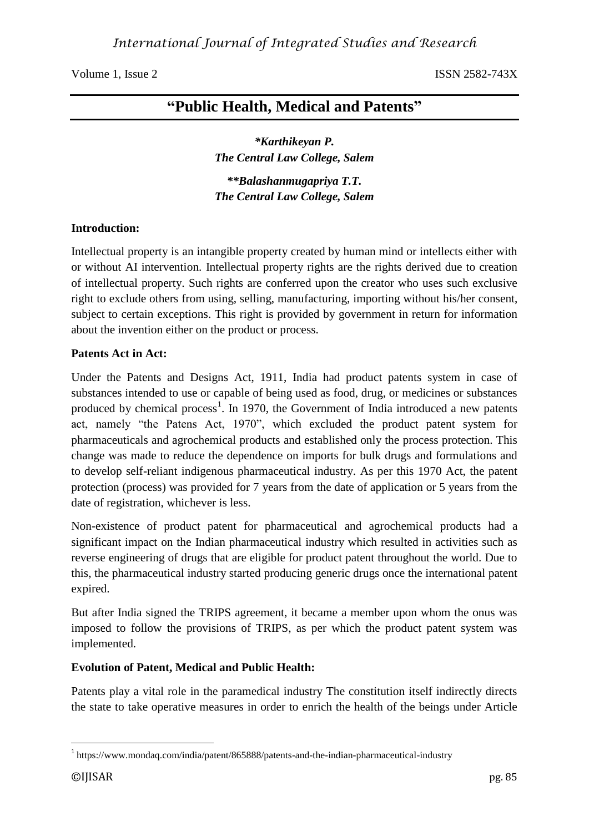# **"Public Health, Medical and Patents"**

*\*Karthikeyan P. The Central Law College, Salem*

*\*\*Balashanmugapriya T.T. The Central Law College, Salem*

# **Introduction:**

Intellectual property is an intangible property created by human mind or intellects either with or without AI intervention. Intellectual property rights are the rights derived due to creation of intellectual property. Such rights are conferred upon the creator who uses such exclusive right to exclude others from using, selling, manufacturing, importing without his/her consent, subject to certain exceptions. This right is provided by government in return for information about the invention either on the product or process.

### **Patents Act in Act:**

Under the Patents and Designs Act, 1911, India had product patents system in case of substances intended to use or capable of being used as food, drug, or medicines or substances produced by chemical process<sup>1</sup>. In 1970, the Government of India introduced a new patents act, namely "the Patens Act, 1970", which excluded the product patent system for pharmaceuticals and agrochemical products and established only the process protection. This change was made to reduce the dependence on imports for bulk drugs and formulations and to develop self-reliant indigenous pharmaceutical industry. As per this 1970 Act, the patent protection (process) was provided for 7 years from the date of application or 5 years from the date of registration, whichever is less.

Non-existence of product patent for pharmaceutical and agrochemical products had a significant impact on the Indian pharmaceutical industry which resulted in activities such as reverse engineering of drugs that are eligible for product patent throughout the world. Due to this, the pharmaceutical industry started producing generic drugs once the international patent expired.

But after India signed the TRIPS agreement, it became a member upon whom the onus was imposed to follow the provisions of TRIPS, as per which the product patent system was implemented.

# **Evolution of Patent, Medical and Public Health:**

Patents play a vital role in the paramedical industry The constitution itself indirectly directs the state to take operative measures in order to enrich the health of the beings under Article

1

<sup>&</sup>lt;sup>1</sup> https://www.mondaq.com/india/patent/865888/patents-and-the-indian-pharmaceutical-industry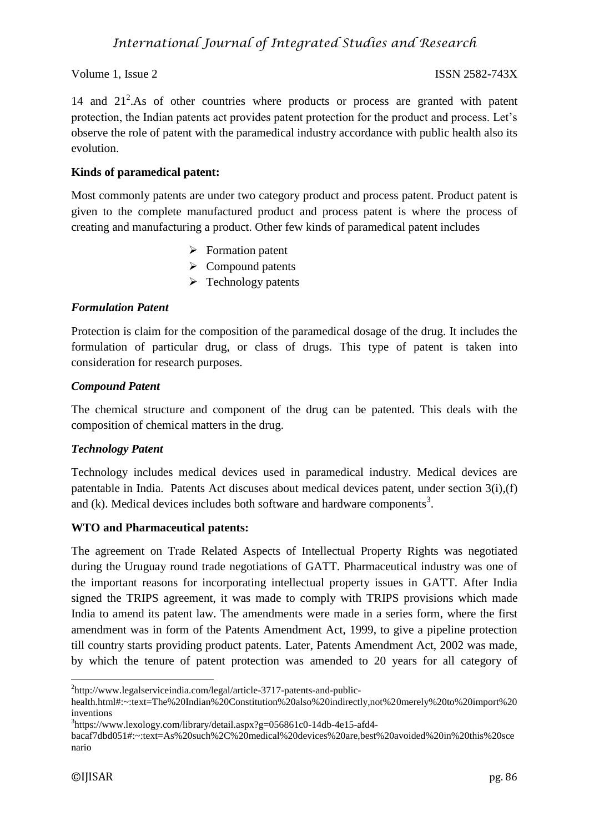14 and 21<sup>2</sup>. As of other countries where products or process are granted with patent protection, the Indian patents act provides patent protection for the product and process. Let's observe the role of patent with the paramedical industry accordance with public health also its evolution.

# **Kinds of paramedical patent:**

Most commonly patents are under two category product and process patent. Product patent is given to the complete manufactured product and process patent is where the process of creating and manufacturing a product. Other few kinds of paramedical patent includes

- $\triangleright$  Formation patent
- $\triangleright$  Compound patents
- $\triangleright$  Technology patents

# *Formulation Patent*

Protection is claim for the composition of the paramedical dosage of the drug. It includes the formulation of particular drug, or class of drugs. This type of patent is taken into consideration for research purposes.

# *Compound Patent*

The chemical structure and component of the drug can be patented. This deals with the composition of chemical matters in the drug.

# *Technology Patent*

Technology includes medical devices used in paramedical industry. Medical devices are patentable in India. Patents Act discuses about medical devices patent, under section 3(i),(f) and  $(k)$ . Medical devices includes both software and hardware components<sup>3</sup>.

# **WTO and Pharmaceutical patents:**

The agreement on Trade Related Aspects of Intellectual Property Rights was negotiated during the Uruguay round trade negotiations of GATT. Pharmaceutical industry was one of the important reasons for incorporating intellectual property issues in GATT. After India signed the TRIPS agreement, it was made to comply with TRIPS provisions which made India to amend its patent law. The amendments were made in a series form, where the first amendment was in form of the Patents Amendment Act, 1999, to give a pipeline protection till country starts providing product patents. Later, Patents Amendment Act, 2002 was made, by which the tenure of patent protection was amended to 20 years for all category of

<sup>1</sup> <sup>2</sup>http://www.legalserviceindia.com/legal/article-3717-patents-and-public-

health.html#:~:text=The%20Indian%20Constitution%20also%20indirectly,not%20merely%20to%20import%20 inventions

<sup>&</sup>lt;sup>3</sup>https://www.lexology.com/library/detail.aspx?g=056861c0-14db-4e15-afd4-

bacaf7dbd051#:~:text=As%20such%2C%20medical%20devices%20are,best%20avoided%20in%20this%20sce nario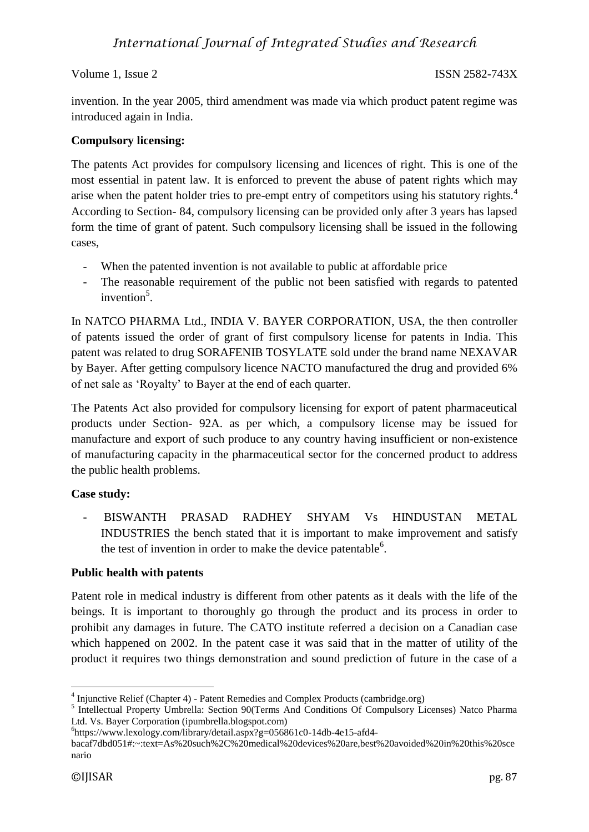invention. In the year 2005, third amendment was made via which product patent regime was introduced again in India.

# **Compulsory licensing:**

The patents Act provides for compulsory licensing and licences of right. This is one of the most essential in patent law. It is enforced to prevent the abuse of patent rights which may arise when the patent holder tries to pre-empt entry of competitors using his statutory rights.<sup>4</sup> According to Section- 84, compulsory licensing can be provided only after 3 years has lapsed form the time of grant of patent. Such compulsory licensing shall be issued in the following cases,

- When the patented invention is not available to public at affordable price
- The reasonable requirement of the public not been satisfied with regards to patented invention<sup>5</sup>.

In NATCO PHARMA Ltd., INDIA V. BAYER CORPORATION, USA, the then controller of patents issued the order of grant of first compulsory license for patents in India. This patent was related to drug SORAFENIB TOSYLATE sold under the brand name NEXAVAR by Bayer. After getting compulsory licence NACTO manufactured the drug and provided 6% of net sale as 'Royalty' to Bayer at the end of each quarter.

The Patents Act also provided for compulsory licensing for export of patent pharmaceutical products under Section- 92A. as per which, a compulsory license may be issued for manufacture and export of such produce to any country having insufficient or non-existence of manufacturing capacity in the pharmaceutical sector for the concerned product to address the public health problems.

# **Case study:**

- BISWANTH PRASAD RADHEY SHYAM Vs HINDUSTAN METAL INDUSTRIES the bench stated that it is important to make improvement and satisfy the test of invention in order to make the device patentable<sup>6</sup>.

# **Public health with patents**

Patent role in medical industry is different from other patents as it deals with the life of the beings. It is important to thoroughly go through the product and its process in order to prohibit any damages in future. The CATO institute referred a decision on a Canadian case which happened on 2002. In the patent case it was said that in the matter of utility of the product it requires two things demonstration and sound prediction of future in the case of a

 4 Injunctive Relief (Chapter 4) - Patent Remedies and Complex Products (cambridge.org)

<sup>&</sup>lt;sup>5</sup> Intellectual Property Umbrella: Section 90(Terms And Conditions Of Compulsory Licenses) Natco Pharma Ltd. Vs. Bayer Corporation (ipumbrella.blogspot.com)

<sup>6</sup> https://www.lexology.com/library/detail.aspx?g=056861c0-14db-4e15-afd4-

bacaf7dbd051#:~:text=As%20such%2C%20medical%20devices%20are,best%20avoided%20in%20this%20sce nario